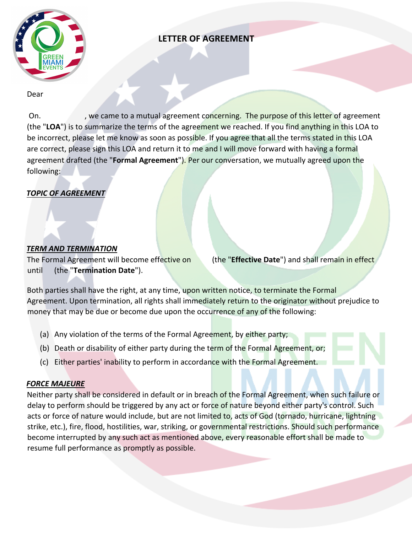

# **LETTER OF AGREEMENT**

#### Dear

On. We came to a mutual agreement concerning. The purpose of this letter of agreement (the "**LOA**") is to summarize the terms of the agreement we reached. If you find anything in this LOA to be incorrect, please let me know as soon as possible. If you agree that all the terms stated in this LOA are correct, please sign this LOA and return it to me and I will move forward with having a formal agreement drafted (the "**Formal Agreement**"). Per our conversation, we mutually agreed upon the following:

# *TOPIC OF AGREEMENT*

# *TERM AND TERMINATION*

The Formal Agreement will become effective on (the "**Effective Date**") and shall remain in effect until (the "**Termination Date**").

Both parties shall have the right, at any time, upon written notice, to terminate the Formal Agreement. Upon termination, all rights shall immediately return to the originator without prejudice to money that may be due or become due upon the occurrence of any of the following:

- (a) Any violation of the terms of the Formal Agreement, by either party;
- (b) Death or disability of either party during the term of the Formal Agreement, or;
- (c) Either parties' inability to perform in accordance with the Formal Agreement.

### *FORCE MAJEURE*

Neither party shall be considered in default or in breach of the Formal Agreement, when such failure or delay to perform should be triggered by any act or force of nature beyond either party's control. Such acts or force of nature would include, but are not limited to, acts of God (tornado, hurricane, lightning strike, etc.), fire, flood, hostilities, war, striking, or governmental restrictions. Should such performance become interrupted by any such act as mentioned above, every reasonable effort shall be made to resume full performance as promptly as possible.